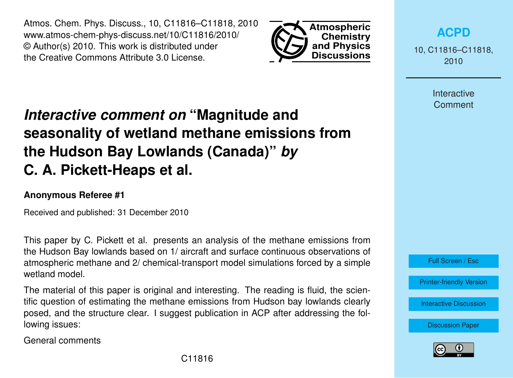Atmos. Chem. Phys. Discuss., 10, C11816–C11818, 2010 www.atmos-chem-phys-discuss.net/10/C11816/2010/ © Author(s) 2010. This work is distributed under the Creative Commons Attribute 3.0 License.



## *Interactive comment on* **"Magnitude and seasonality of wetland methane emissions from the Hudson Bay Lowlands (Canada)"** *by* **C. A. Pickett-Heaps et al.**

## **Anonymous Referee #1**

Received and published: 31 December 2010

This paper by C. Pickett et al. presents an analysis of the methane emissions from the Hudson Bay lowlands based on 1/ aircraft and surface continuous observations of atmospheric methane and 2/ chemical-transport model simulations forced by a simple wetland model.

The material of this paper is original and interesting. The reading is fluid, the scientific question of estimating the methane emissions from Hudson bay lowlands clearly posed, and the structure clear. I suggest publication in ACP after addressing the following issues:

General comments

10, C11816–C11818, 2010

> Interactive **Comment**



[Printer-friendly Version](http://www.atmos-chem-phys-discuss.net/10/C11816/2010/acpd-10-C11816-2010-print.pdf)

[Interactive Discussion](http://www.atmos-chem-phys-discuss.net/10/22415/2010/acpd-10-22415-2010-discussion.html)

[Discussion Paper](http://www.atmos-chem-phys-discuss.net/10/22415/2010/acpd-10-22415-2010.pdf)

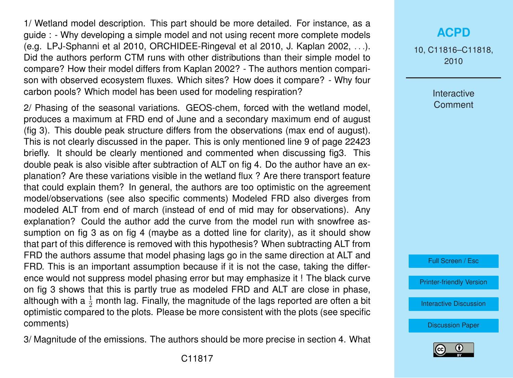1/ Wetland model description. This part should be more detailed. For instance, as a guide : - Why developing a simple model and not using recent more complete models (e.g. LPJ-Sphanni et al 2010, ORCHIDEE-Ringeval et al 2010, J. Kaplan 2002, . . .). Did the authors perform CTM runs with other distributions than their simple model to compare? How their model differs from Kaplan 2002? - The authors mention comparison with observed ecosystem fluxes. Which sites? How does it compare? - Why four carbon pools? Which model has been used for modeling respiration?

2/ Phasing of the seasonal variations. GEOS-chem, forced with the wetland model, produces a maximum at FRD end of June and a secondary maximum end of august (fig 3). This double peak structure differs from the observations (max end of august). This is not clearly discussed in the paper. This is only mentioned line 9 of page 22423 briefly. It should be clearly mentioned and commented when discussing fig3. This double peak is also visible after subtraction of ALT on fig 4. Do the author have an explanation? Are these variations visible in the wetland flux ? Are there transport feature that could explain them? In general, the authors are too optimistic on the agreement model/observations (see also specific comments) Modeled FRD also diverges from modeled ALT from end of march (instead of end of mid may for observations). Any explanation? Could the author add the curve from the model run with snowfree assumption on fig 3 as on fig 4 (maybe as a dotted line for clarity), as it should show that part of this difference is removed with this hypothesis? When subtracting ALT from FRD the authors assume that model phasing lags go in the same direction at ALT and FRD. This is an important assumption because if it is not the case, taking the difference would not suppress model phasing error but may emphasize it ! The black curve on fig 3 shows that this is partly true as modeled FRD and ALT are close in phase, although with a  $\frac{1}{2}$  month lag. Finally, the magnitude of the lags reported are often a bit optimistic compared to the plots. Please be more consistent with the plots (see specific comments)

3/ Magnitude of the emissions. The authors should be more precise in section 4. What

## **[ACPD](http://www.atmos-chem-phys-discuss.net)**

10, C11816–C11818, 2010

> Interactive **Comment**

Full Screen / Esc

[Printer-friendly Version](http://www.atmos-chem-phys-discuss.net/10/C11816/2010/acpd-10-C11816-2010-print.pdf)

[Interactive Discussion](http://www.atmos-chem-phys-discuss.net/10/22415/2010/acpd-10-22415-2010-discussion.html)

[Discussion Paper](http://www.atmos-chem-phys-discuss.net/10/22415/2010/acpd-10-22415-2010.pdf)